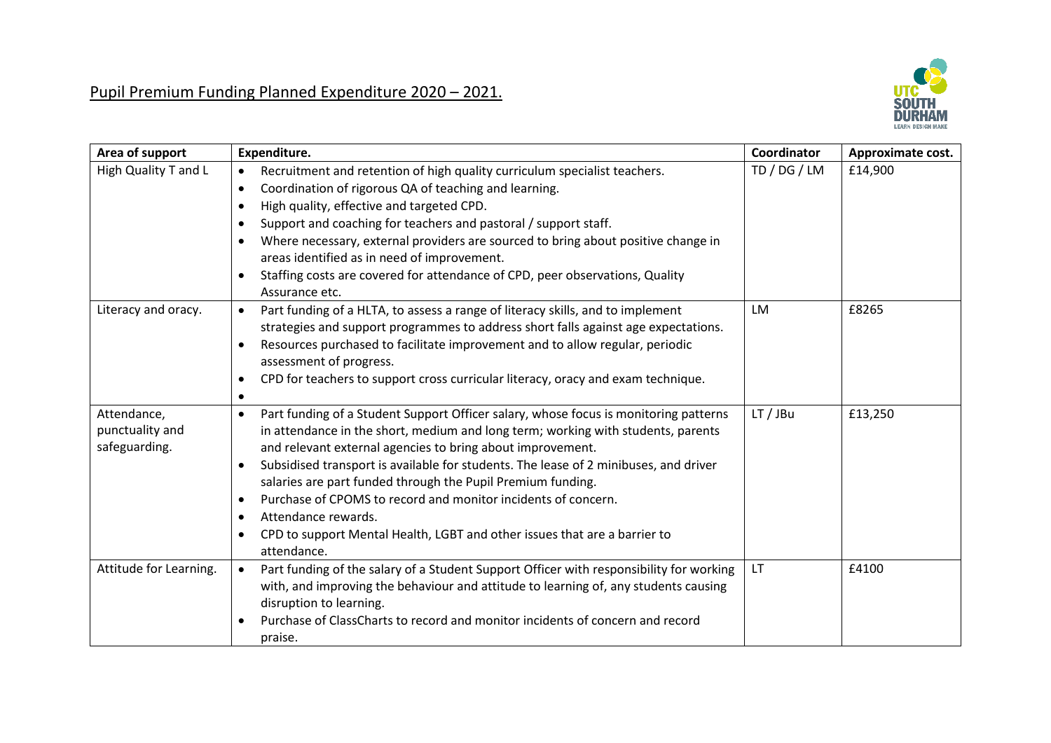

| Area of support                                 | Expenditure.                                                                                                                                                                                                                                                                                                                                                                                                                                                                                                                                                                           | Coordinator  | Approximate cost. |
|-------------------------------------------------|----------------------------------------------------------------------------------------------------------------------------------------------------------------------------------------------------------------------------------------------------------------------------------------------------------------------------------------------------------------------------------------------------------------------------------------------------------------------------------------------------------------------------------------------------------------------------------------|--------------|-------------------|
| High Quality T and L                            | Recruitment and retention of high quality curriculum specialist teachers.<br>$\bullet$<br>Coordination of rigorous QA of teaching and learning.<br>$\bullet$<br>High quality, effective and targeted CPD.<br>٠<br>Support and coaching for teachers and pastoral / support staff.<br>Where necessary, external providers are sourced to bring about positive change in<br>areas identified as in need of improvement.<br>Staffing costs are covered for attendance of CPD, peer observations, Quality<br>Assurance etc.                                                                | TD / DG / LM | £14,900           |
| Literacy and oracy.                             | Part funding of a HLTA, to assess a range of literacy skills, and to implement<br>$\bullet$<br>strategies and support programmes to address short falls against age expectations.<br>Resources purchased to facilitate improvement and to allow regular, periodic<br>assessment of progress.<br>CPD for teachers to support cross curricular literacy, oracy and exam technique.<br>٠                                                                                                                                                                                                  | LM           | £8265             |
| Attendance,<br>punctuality and<br>safeguarding. | Part funding of a Student Support Officer salary, whose focus is monitoring patterns<br>٠<br>in attendance in the short, medium and long term; working with students, parents<br>and relevant external agencies to bring about improvement.<br>Subsidised transport is available for students. The lease of 2 minibuses, and driver<br>salaries are part funded through the Pupil Premium funding.<br>Purchase of CPOMS to record and monitor incidents of concern.<br>Attendance rewards.<br>CPD to support Mental Health, LGBT and other issues that are a barrier to<br>attendance. | LT/JBu       | £13,250           |
| Attitude for Learning.                          | Part funding of the salary of a Student Support Officer with responsibility for working<br>$\bullet$<br>with, and improving the behaviour and attitude to learning of, any students causing<br>disruption to learning.<br>Purchase of ClassCharts to record and monitor incidents of concern and record<br>praise.                                                                                                                                                                                                                                                                     | LT           | £4100             |